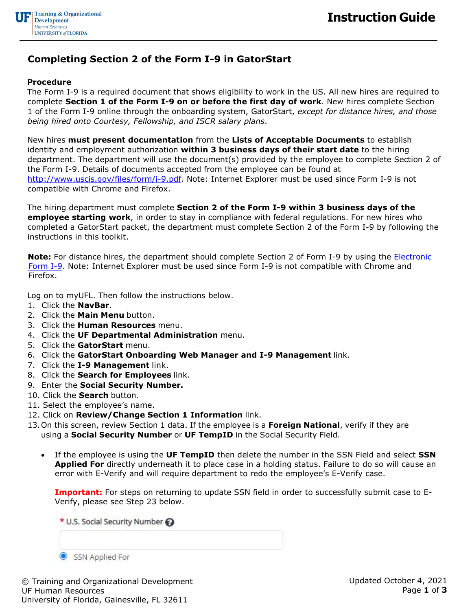

## **Completing Section 2 of the Form I-9 in GatorStart**

## **Procedure**

The Form I-9 is a required document that shows eligibility to work in the US. All new hires are required to complete **Section 1 of the Form I-9 on or before the first day of work**. New hires complete Section 1 of the Form I-9 online through the onboarding system, GatorStart, *except for distance hires, and those being hired onto Courtesy, Fellowship, and ISCR salary plans*.

New hires **must present documentation** from the **Lists of Acceptable Documents** to establish identity and employment authorization **within 3 business days of their start date** to the hiring department. The department will use the document(s) provided by the employee to complete Section 2 of the Form I-9. Details of documents accepted from the employee can be found at [http://www.uscis.gov/files/form/i-9.pdf.](http://www.uscis.gov/files/form/i-9.pdf) Note: Internet Explorer must be used since Form I-9 is not compatible with Chrome and Firefox.

The hiring department must complete **Section 2 of the Form I-9 within 3 business days of the employee starting work**, in order to stay in compliance with federal regulations. For new hires who completed a GatorStart packet, the department must complete Section 2 of the Form I-9 by following the instructions in this toolkit.

**Note:** For distance hires, the department should complete Section 2 of Form I-9 by using the **Electronic** [Form I-9.](http://www.uscis.gov/files/form/i-9.pdf) Note: Internet Explorer must be used since Form I-9 is not compatible with Chrome and Firefox.

Log on to myUFL. Then follow the instructions below.

- 1. Click the **NavBar**.
- 2. Click the **Main Menu** button.
- 3. Click the **Human Resources** menu.
- 4. Click the **UF Departmental Administration** menu.
- 5. Click the **GatorStart** menu.
- 6. Click the **GatorStart Onboarding Web Manager and I-9 Management** link.
- 7. Click the **I-9 Management** link.
- 8. Click the **Search for Employees** link.
- 9. Enter the **Social Security Number.**
- 10. Click the **Search** button.
- 11. Select the employee's name.
- 12. Click on **Review/Change Section 1 Information** link.
- 13.On this screen, review Section 1 data. If the employee is a **Foreign National**, verify if they are using a **Social Security Number** or **UF TempID** in the Social Security Field.
	- If the employee is using the **UF TempID** then delete the number in the SSN Field and select **SSN Applied For** directly underneath it to place case in a holding status. Failure to do so will cause an error with E-Verify and will require department to redo the employee's E-Verify case.

**Important:** For steps on returning to update SSN field in order to successfully submit case to E-Verify, please see Step 23 below.

| * U.S. Social Security Number |                 |  |
|-------------------------------|-----------------|--|
|                               |                 |  |
|                               | SSN Applied For |  |

© Training and Organizational Development UF Human Resources University of Florida, Gainesville, FL 32611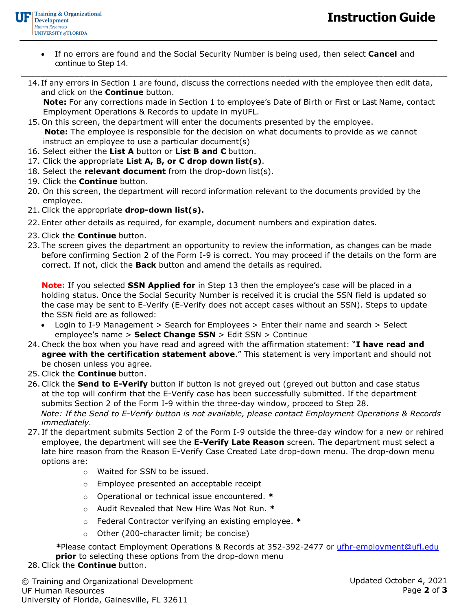- If no errors are found and the Social Security Number is being used, then select **Cancel** and continue to Step 14.
- $\_$  , and the set of the set of the set of the set of the set of the set of the set of the set of the set of the set of the set of the set of the set of the set of the set of the set of the set of the set of the set of th 14. If any errors in Section 1 are found, discuss the corrections needed with the employee then edit data, and click on the **Continue** button.

**Note:** For any corrections made in Section 1 to employee's Date of Birth or First or Last Name, contact Employment Operations & Records to update in myUFL.

- 15. On this screen, the department will enter the documents presented by the employee. **Note:** The employee is responsible for the decision on what documents to provide as we cannot instruct an employee to use a particular document(s)
- 16. Select either the **List A** button or **List B and C** button.
- 17. Click the appropriate **List A, B, or C drop down list(s)**.
- 18. Select the **relevant document** from the drop-down list(s).
- 19. Click the **Continue** button.
- 20. On this screen, the department will record information relevant to the documents provided by the employee.
- 21. Click the appropriate **drop-down list(s).**
- 22. Enter other details as required, for example, document numbers and expiration dates.
- 23. Click the **Continue** button.
- 23. The screen gives the department an opportunity to review the information, as changes can be made before confirming Section 2 of the Form I-9 is correct. You may proceed if the details on the form are correct. If not, click the **Back** button and amend the details as required.

**Note:** If you selected **SSN Applied for** in Step 13 then the employee's case will be placed in a holding status. Once the Social Security Number is received it is crucial the SSN field is updated so the case may be sent to E-Verify (E-Verify does not accept cases without an SSN). Steps to update the SSN field are as followed:

- Login to I-9 Management > Search for Employees > Enter their name and search > Select employee's name > **Select Change SSN** > Edit SSN > Continue
- 24. Check the box when you have read and agreed with the affirmation statement: "**I have read and agree with the certification statement above**." This statement is very important and should not be chosen unless you agree.
- 25. Click the **Continue** button.
- 26. Click the **Send to E-Verify** button if button is not greyed out (greyed out button and case status at the top will confirm that the E-Verify case has been successfully submitted. If the department submits Section 2 of the Form I-9 within the three-day window, proceed to Step 28. *Note: If the Send to E-Verify button is not available, please contact Employment Operations & Records immediately.*
- 27. If the department submits Section 2 of the Form I-9 outside the three-day window for a new or rehired employee, the department will see the **E-Verify Late Reason** screen. The department must select a late hire reason from the Reason E-Verify Case Created Late drop-down menu. The drop-down menu options are:
	- o Waited for SSN to be issued.
	- o Employee presented an acceptable receipt
	- o Operational or technical issue encountered. **\***
	- o Audit Revealed that New Hire Was Not Run. **\***
	- o Federal Contractor verifying an existing employee. **\***
	- o Other (200-character limit; be concise)

*\**Please contact Employment Operations & Records at 352-392-2477 or [ufhr-employment@ufl.edu](mailto:ufhr-employment@ufl.edu) **prior** to selecting these options from the drop-down menu

## 28. Click the **Continue** button.

© Training and Organizational Development UF Human Resources University of Florida, Gainesville, FL 32611